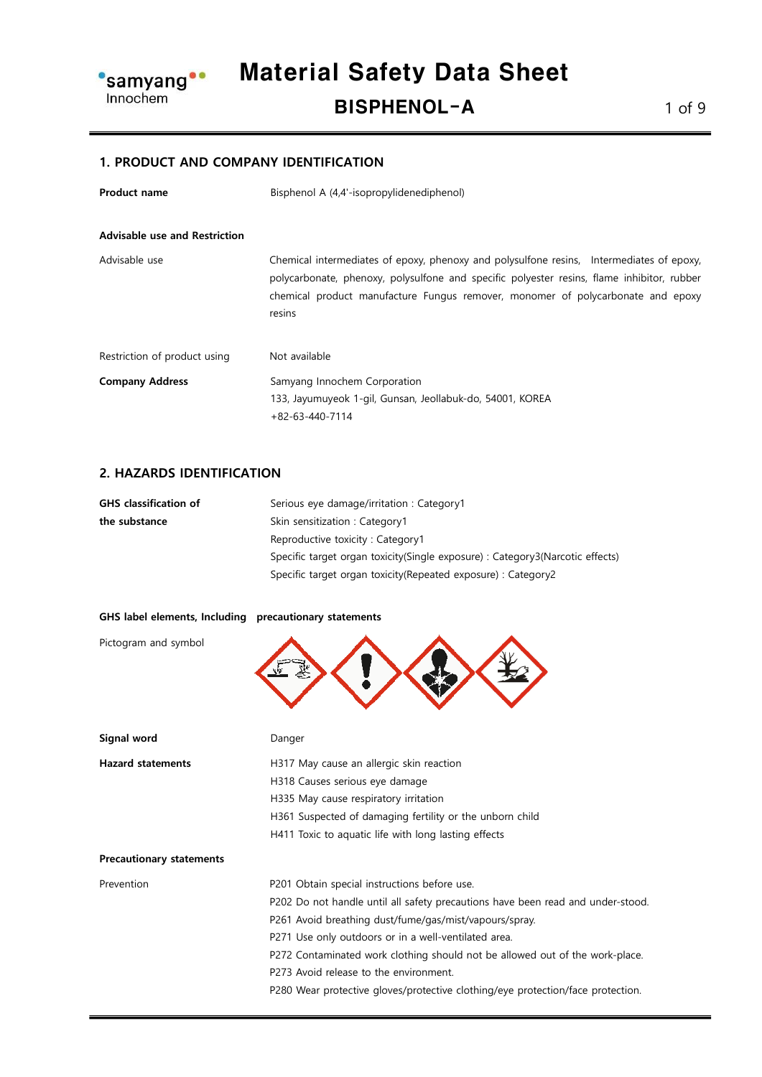

#### 1. PRODUCT AND COMPANY IDENTIFICATION

| <b>Product name</b>                  | Bisphenol A (4,4'-isopropylidenediphenol)                                                                                                                                                                                                                                           |  |
|--------------------------------------|-------------------------------------------------------------------------------------------------------------------------------------------------------------------------------------------------------------------------------------------------------------------------------------|--|
| <b>Advisable use and Restriction</b> |                                                                                                                                                                                                                                                                                     |  |
| Advisable use                        | Chemical intermediates of epoxy, phenoxy and polysulfone resins, Intermediates of epoxy,<br>polycarbonate, phenoxy, polysulfone and specific polyester resins, flame inhibitor, rubber<br>chemical product manufacture Fungus remover, monomer of polycarbonate and epoxy<br>resins |  |
| Restriction of product using         | Not available                                                                                                                                                                                                                                                                       |  |
| <b>Company Address</b>               | Samyang Innochem Corporation                                                                                                                                                                                                                                                        |  |
|                                      | 133, Jayumuyeok 1-gil, Gunsan, Jeollabuk-do, 54001, KOREA                                                                                                                                                                                                                           |  |
|                                      | $+82-63-440-7114$                                                                                                                                                                                                                                                                   |  |

#### 2. HAZARDS IDENTIFICATION

| <b>GHS</b> classification of | Serious eye damage/irritation : Category1                                     |
|------------------------------|-------------------------------------------------------------------------------|
| the substance                | Skin sensitization: Category1                                                 |
|                              | Reproductive toxicity: Category1                                              |
|                              | Specific target organ toxicity(Single exposure) : Category3(Narcotic effects) |
|                              | Specific target organ toxicity (Repeated exposure) : Category2                |

| GHS label elements, Including precautionary statements |                                                                                 |
|--------------------------------------------------------|---------------------------------------------------------------------------------|
| Pictogram and symbol                                   |                                                                                 |
| Signal word                                            | Danger                                                                          |
| <b>Hazard statements</b>                               | H317 May cause an allergic skin reaction                                        |
|                                                        | H318 Causes serious eye damage                                                  |
|                                                        | H335 May cause respiratory irritation                                           |
|                                                        | H361 Suspected of damaging fertility or the unborn child                        |
|                                                        | H411 Toxic to aquatic life with long lasting effects                            |
| <b>Precautionary statements</b>                        |                                                                                 |
| Prevention                                             | P201 Obtain special instructions before use.                                    |
|                                                        | P202 Do not handle until all safety precautions have been read and under-stood. |
|                                                        | P261 Avoid breathing dust/fume/gas/mist/vapours/spray.                          |
|                                                        | P271 Use only outdoors or in a well-ventilated area.                            |
|                                                        | P272 Contaminated work clothing should not be allowed out of the work-place.    |
|                                                        | P273 Avoid release to the environment.                                          |
|                                                        | P280 Wear protective gloves/protective clothing/eye protection/face protection. |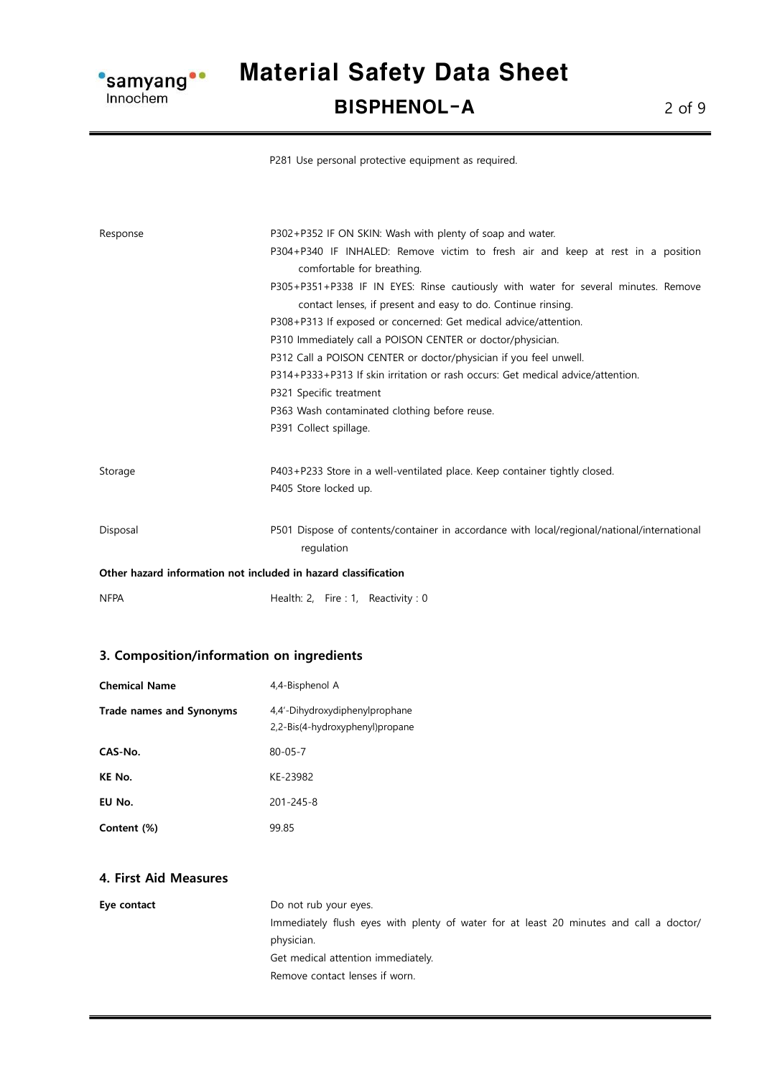

Material Safety Data Sheet BISPHENOL-A 2 of 9

P281 Use personal protective equipment as required.

| Response                                                       | P302+P352 IF ON SKIN: Wash with plenty of soap and water.                                   |  |
|----------------------------------------------------------------|---------------------------------------------------------------------------------------------|--|
|                                                                | P304+P340 IF INHALED: Remove victim to fresh air and keep at rest in a position             |  |
|                                                                | comfortable for breathing.                                                                  |  |
|                                                                | P305+P351+P338 IF IN EYES: Rinse cautiously with water for several minutes. Remove          |  |
|                                                                | contact lenses, if present and easy to do. Continue rinsing.                                |  |
|                                                                | P308+P313 If exposed or concerned: Get medical advice/attention.                            |  |
|                                                                | P310 Immediately call a POISON CENTER or doctor/physician.                                  |  |
|                                                                | P312 Call a POISON CENTER or doctor/physician if you feel unwell.                           |  |
|                                                                | P314+P333+P313 If skin irritation or rash occurs: Get medical advice/attention.             |  |
|                                                                | P321 Specific treatment<br>P363 Wash contaminated clothing before reuse.                    |  |
|                                                                |                                                                                             |  |
| Storage                                                        | P403+P233 Store in a well-ventilated place. Keep container tightly closed.                  |  |
|                                                                | P405 Store locked up.                                                                       |  |
| Disposal                                                       | P501 Dispose of contents/container in accordance with local/regional/national/international |  |
|                                                                | regulation                                                                                  |  |
| Other hazard information not included in hazard classification |                                                                                             |  |
| <b>NFPA</b>                                                    | Health: 2, Fire : 1, Reactivity : 0                                                         |  |

#### 3. Composition/information on ingredients

| <b>Chemical Name</b>            | 4,4-Bisphenol A                                                   |
|---------------------------------|-------------------------------------------------------------------|
| <b>Trade names and Synonyms</b> | 4,4'-Dihydroxydiphenylprophane<br>2,2-Bis(4-hydroxyphenyl)propane |
| CAS-No.                         | $80 - 05 - 7$                                                     |
| KE No.                          | KE-23982                                                          |
| EU No.                          | $201 - 245 - 8$                                                   |
| Content (%)                     | 99.85                                                             |

#### 4. First Aid Measures

Eye contact Do not rub your eyes. Immediately flush eyes with plenty of water for at least 20 minutes and call a doctor/ physician. Get medical attention immediately. Remove contact lenses if worn.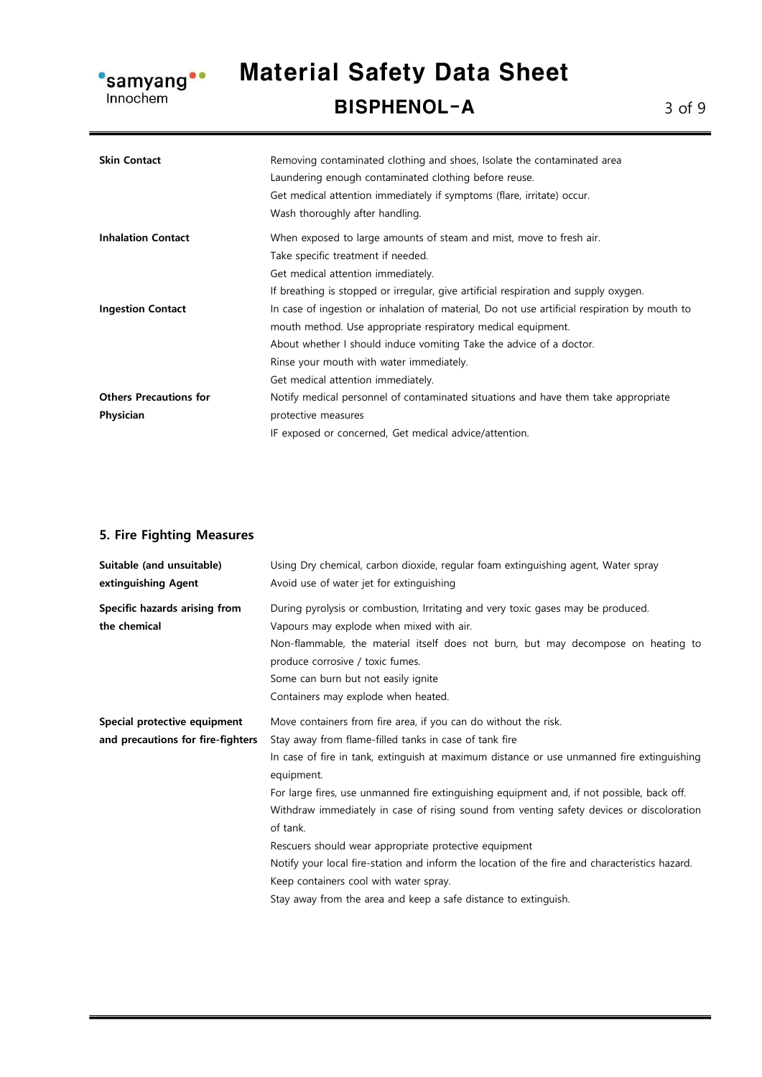

# Material Safety Data Sheet

BISPHENOL-A 3 of 9

| <b>Skin Contact</b>           | Removing contaminated clothing and shoes, Isolate the contaminated area<br>Laundering enough contaminated clothing before reuse.<br>Get medical attention immediately if symptoms (flare, irritate) occur.<br>Wash thoroughly after handling. |
|-------------------------------|-----------------------------------------------------------------------------------------------------------------------------------------------------------------------------------------------------------------------------------------------|
| <b>Inhalation Contact</b>     | When exposed to large amounts of steam and mist, move to fresh air.                                                                                                                                                                           |
|                               | Take specific treatment if needed.                                                                                                                                                                                                            |
|                               | Get medical attention immediately.                                                                                                                                                                                                            |
|                               | If breathing is stopped or irregular, give artificial respiration and supply oxygen.                                                                                                                                                          |
| <b>Ingestion Contact</b>      | In case of ingestion or inhalation of material, Do not use artificial respiration by mouth to                                                                                                                                                 |
|                               | mouth method. Use appropriate respiratory medical equipment.                                                                                                                                                                                  |
|                               | About whether I should induce vomiting Take the advice of a doctor.                                                                                                                                                                           |
|                               | Rinse your mouth with water immediately.                                                                                                                                                                                                      |
|                               | Get medical attention immediately.                                                                                                                                                                                                            |
| <b>Others Precautions for</b> | Notify medical personnel of contaminated situations and have them take appropriate                                                                                                                                                            |
| Physician                     | protective measures                                                                                                                                                                                                                           |
|                               | IF exposed or concerned, Get medical advice/attention.                                                                                                                                                                                        |

### 5. Fire Fighting Measures

| Suitable (and unsuitable)<br>extinguishing Agent                  | Using Dry chemical, carbon dioxide, regular foam extinguishing agent, Water spray<br>Avoid use of water jet for extinguishing                                                                                                                                                                                                                                                                                                                                                                                                                                                                                                                                                                                        |
|-------------------------------------------------------------------|----------------------------------------------------------------------------------------------------------------------------------------------------------------------------------------------------------------------------------------------------------------------------------------------------------------------------------------------------------------------------------------------------------------------------------------------------------------------------------------------------------------------------------------------------------------------------------------------------------------------------------------------------------------------------------------------------------------------|
| Specific hazards arising from<br>the chemical                     | During pyrolysis or combustion, Irritating and very toxic gases may be produced.<br>Vapours may explode when mixed with air.<br>Non-flammable, the material itself does not burn, but may decompose on heating to<br>produce corrosive / toxic fumes.<br>Some can burn but not easily ignite<br>Containers may explode when heated.                                                                                                                                                                                                                                                                                                                                                                                  |
| Special protective equipment<br>and precautions for fire-fighters | Move containers from fire area, if you can do without the risk.<br>Stay away from flame-filled tanks in case of tank fire<br>In case of fire in tank, extinguish at maximum distance or use unmanned fire extinguishing<br>equipment.<br>For large fires, use unmanned fire extinguishing equipment and, if not possible, back off.<br>Withdraw immediately in case of rising sound from venting safety devices or discoloration<br>of tank.<br>Rescuers should wear appropriate protective equipment<br>Notify your local fire-station and inform the location of the fire and characteristics hazard.<br>Keep containers cool with water spray.<br>Stay away from the area and keep a safe distance to extinguish. |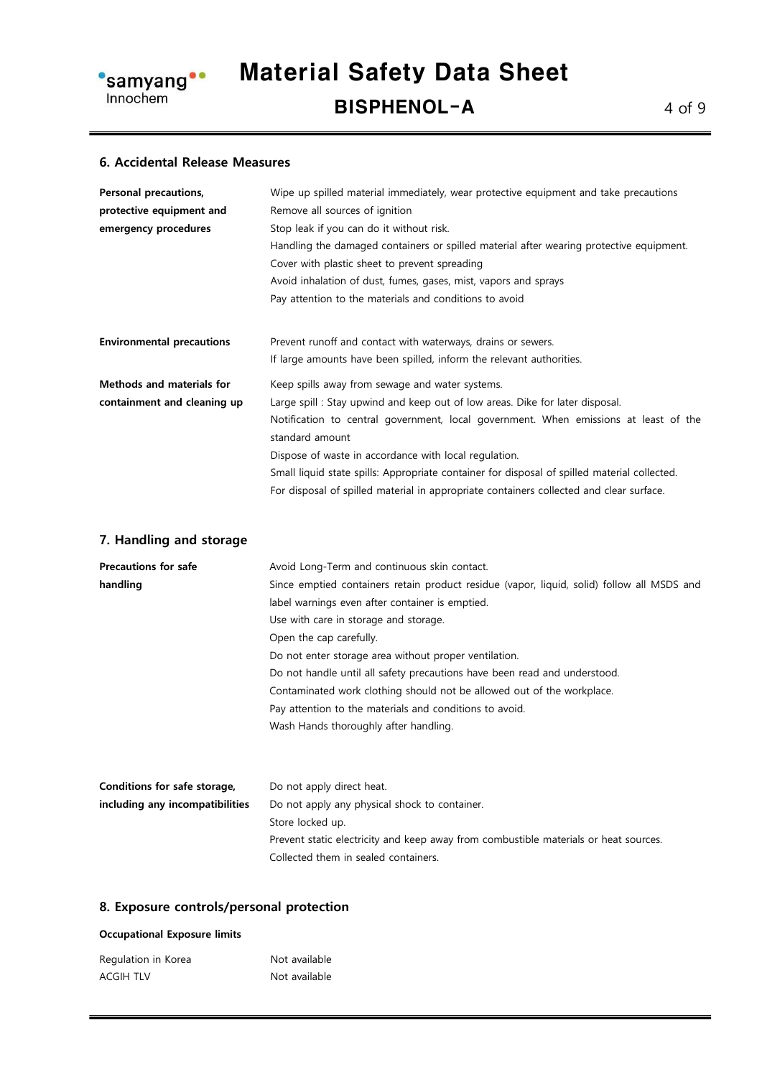

#### 6. Accidental Release Measures

| Personal precautions,            | Wipe up spilled material immediately, wear protective equipment and take precautions         |  |
|----------------------------------|----------------------------------------------------------------------------------------------|--|
| protective equipment and         | Remove all sources of ignition                                                               |  |
| emergency procedures             | Stop leak if you can do it without risk.                                                     |  |
|                                  | Handling the damaged containers or spilled material after wearing protective equipment.      |  |
|                                  | Cover with plastic sheet to prevent spreading                                                |  |
|                                  | Avoid inhalation of dust, fumes, gases, mist, vapors and sprays                              |  |
|                                  | Pay attention to the materials and conditions to avoid                                       |  |
| <b>Environmental precautions</b> | Prevent runoff and contact with waterways, drains or sewers.                                 |  |
|                                  | If large amounts have been spilled, inform the relevant authorities.                         |  |
| <b>Methods and materials for</b> | Keep spills away from sewage and water systems.                                              |  |
| containment and cleaning up      | Large spill: Stay upwind and keep out of low areas. Dike for later disposal.                 |  |
|                                  | Notification to central government, local government. When emissions at least of the         |  |
|                                  | standard amount                                                                              |  |
|                                  | Dispose of waste in accordance with local regulation.                                        |  |
|                                  | Small liquid state spills: Appropriate container for disposal of spilled material collected. |  |
|                                  | For disposal of spilled material in appropriate containers collected and clear surface.      |  |

#### 7. Handling and storage

| <b>Precautions for safe</b>     | Avoid Long-Term and continuous skin contact.                                               |
|---------------------------------|--------------------------------------------------------------------------------------------|
| handling                        | Since emptied containers retain product residue (vapor, liquid, solid) follow all MSDS and |
|                                 | label warnings even after container is emptied.                                            |
|                                 | Use with care in storage and storage.                                                      |
|                                 | Open the cap carefully.                                                                    |
|                                 | Do not enter storage area without proper ventilation.                                      |
|                                 | Do not handle until all safety precautions have been read and understood.                  |
|                                 | Contaminated work clothing should not be allowed out of the workplace.                     |
|                                 | Pay attention to the materials and conditions to avoid.                                    |
|                                 | Wash Hands thoroughly after handling.                                                      |
|                                 |                                                                                            |
| Conditions for safe storage,    | Do not apply direct heat.                                                                  |
| including any incompatibilities | Do not apply any physical shock to container.                                              |
|                                 | Store locked up.                                                                           |
|                                 | Prevent static electricity and keep away from combustible materials or heat sources.       |

Collected them in sealed containers.

#### 8. Exposure controls/personal protection

#### Occupational Exposure limits

| Regulation in Korea | Not available |
|---------------------|---------------|
| <b>ACGIH TLV</b>    | Not available |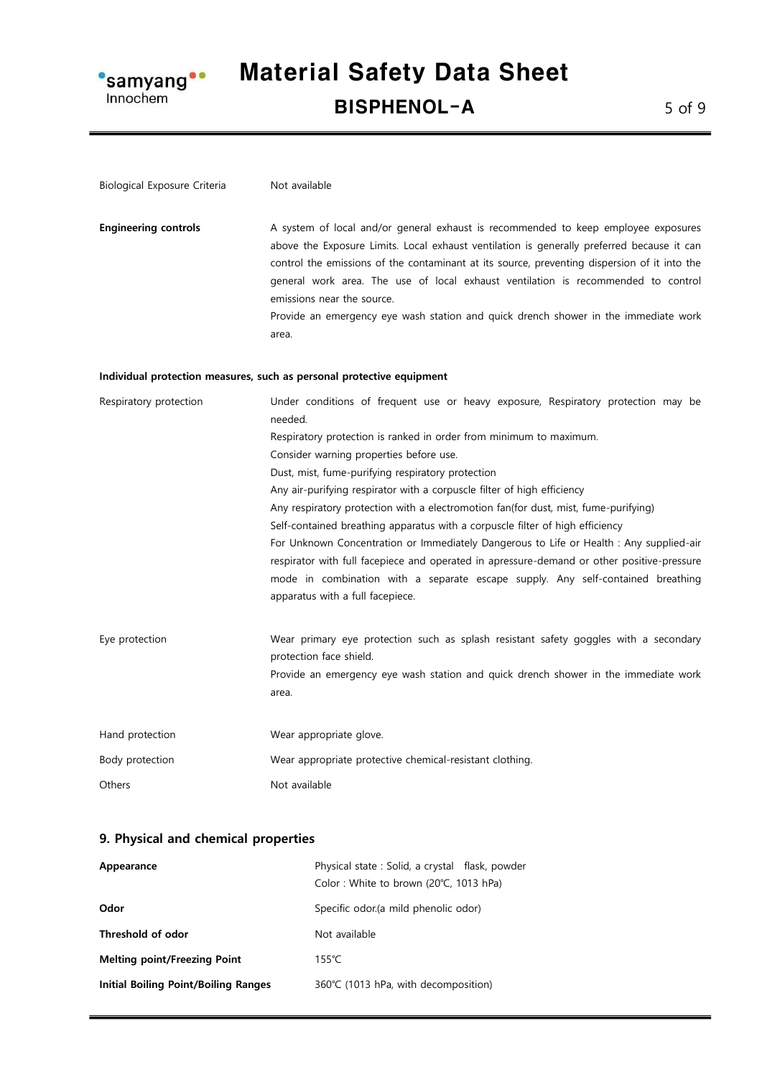

### Material Safety Data Sheet BISPHENOL-A 5 of 9

| Biological Exposure Criteria | Not available                                                                                                                                                                                                                                                                                                                                                                                                                                                                                                                                                                                                                                                                                                                                                                                                                         |
|------------------------------|---------------------------------------------------------------------------------------------------------------------------------------------------------------------------------------------------------------------------------------------------------------------------------------------------------------------------------------------------------------------------------------------------------------------------------------------------------------------------------------------------------------------------------------------------------------------------------------------------------------------------------------------------------------------------------------------------------------------------------------------------------------------------------------------------------------------------------------|
| <b>Engineering controls</b>  | A system of local and/or general exhaust is recommended to keep employee exposures<br>above the Exposure Limits. Local exhaust ventilation is generally preferred because it can<br>control the emissions of the contaminant at its source, preventing dispersion of it into the<br>general work area. The use of local exhaust ventilation is recommended to control<br>emissions near the source.<br>Provide an emergency eye wash station and quick drench shower in the immediate work<br>area.                                                                                                                                                                                                                                                                                                                                   |
|                              | Individual protection measures, such as personal protective equipment                                                                                                                                                                                                                                                                                                                                                                                                                                                                                                                                                                                                                                                                                                                                                                 |
| Respiratory protection       | Under conditions of frequent use or heavy exposure, Respiratory protection may be<br>needed.<br>Respiratory protection is ranked in order from minimum to maximum.<br>Consider warning properties before use.<br>Dust, mist, fume-purifying respiratory protection<br>Any air-purifying respirator with a corpuscle filter of high efficiency<br>Any respiratory protection with a electromotion fan(for dust, mist, fume-purifying)<br>Self-contained breathing apparatus with a corpuscle filter of high efficiency<br>For Unknown Concentration or Immediately Dangerous to Life or Health : Any supplied-air<br>respirator with full facepiece and operated in apressure-demand or other positive-pressure<br>mode in combination with a separate escape supply. Any self-contained breathing<br>apparatus with a full facepiece. |
| Eye protection               | Wear primary eye protection such as splash resistant safety goggles with a secondary<br>protection face shield.<br>Provide an emergency eye wash station and quick drench shower in the immediate work<br>area.                                                                                                                                                                                                                                                                                                                                                                                                                                                                                                                                                                                                                       |
| Hand protection              | Wear appropriate glove.                                                                                                                                                                                                                                                                                                                                                                                                                                                                                                                                                                                                                                                                                                                                                                                                               |
| Body protection              | Wear appropriate protective chemical-resistant clothing.                                                                                                                                                                                                                                                                                                                                                                                                                                                                                                                                                                                                                                                                                                                                                                              |
| Others                       | Not available                                                                                                                                                                                                                                                                                                                                                                                                                                                                                                                                                                                                                                                                                                                                                                                                                         |

#### 9. Physical and chemical properties

| Appearance                                  | Physical state: Solid, a crystal flask, powder |
|---------------------------------------------|------------------------------------------------|
|                                             | Color: White to brown (20°C, 1013 hPa)         |
| Odor                                        | Specific odor (a mild phenolic odor)           |
| Threshold of odor                           | Not available                                  |
| <b>Melting point/Freezing Point</b>         | $155^{\circ}$ C                                |
| <b>Initial Boiling Point/Boiling Ranges</b> | 360°C (1013 hPa, with decomposition)           |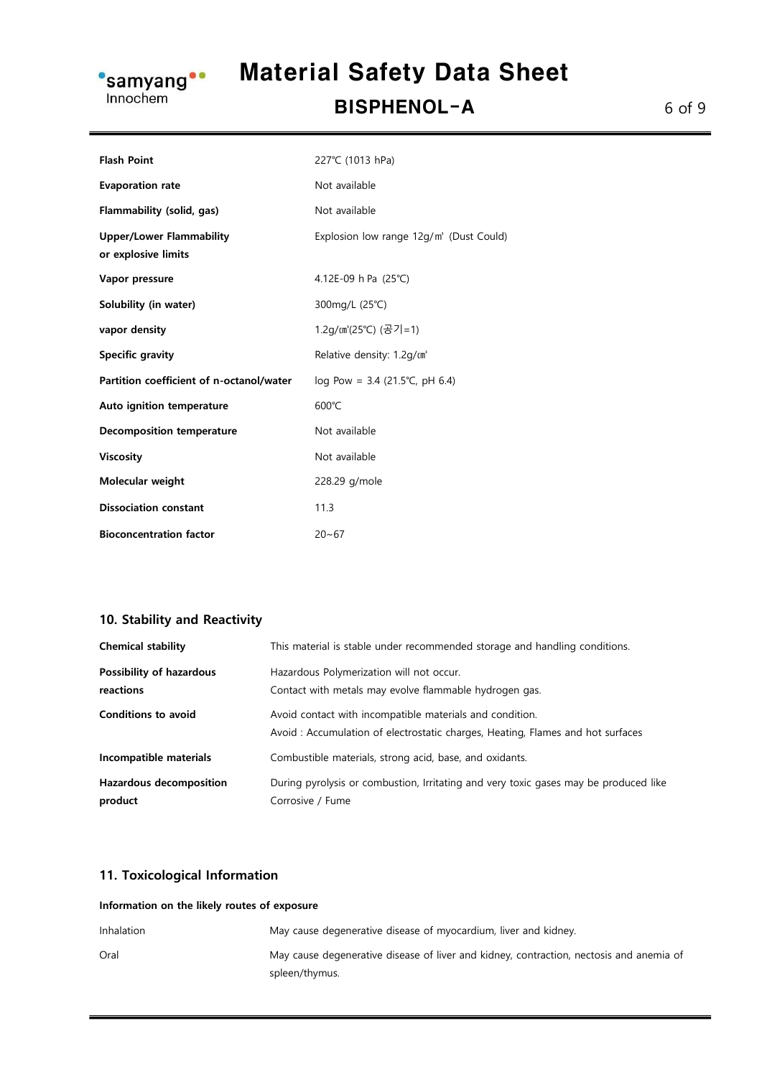

## Material Safety Data Sheet

BISPHENOL-A 6 of 9

| <b>Flash Point</b>                                     | 227°C (1013 hPa)                        |
|--------------------------------------------------------|-----------------------------------------|
| <b>Evaporation rate</b>                                | Not available                           |
| Flammability (solid, gas)                              | Not available                           |
| <b>Upper/Lower Flammability</b><br>or explosive limits | Explosion low range 12g/m' (Dust Could) |
| Vapor pressure                                         | 4.12E-09 h Pa (25°C)                    |
| Solubility (in water)                                  | 300mg/L (25°C)                          |
| vapor density                                          | 1.2g/㎝'(25℃) (공기=1)                     |
| <b>Specific gravity</b>                                | Relative density: 1.2q/m <sup>*</sup>   |
| Partition coefficient of n-octanol/water               | $log Pow = 3.4 (21.5^{\circ}C, pH 6.4)$ |
| Auto ignition temperature                              | $600^{\circ}$ C                         |
| <b>Decomposition temperature</b>                       | Not available                           |
| <b>Viscosity</b>                                       | Not available                           |
| Molecular weight                                       | 228.29 g/mole                           |
| <b>Dissociation constant</b>                           | 11.3                                    |
| <b>Bioconcentration factor</b>                         | $20 - 67$                               |

#### 10. Stability and Reactivity

| <b>Chemical stability</b>                 | This material is stable under recommended storage and handling conditions.                                                                 |
|-------------------------------------------|--------------------------------------------------------------------------------------------------------------------------------------------|
| Possibility of hazardous<br>reactions     | Hazardous Polymerization will not occur.<br>Contact with metals may evolve flammable hydrogen gas.                                         |
| <b>Conditions to avoid</b>                | Avoid contact with incompatible materials and condition.<br>Avoid: Accumulation of electrostatic charges, Heating, Flames and hot surfaces |
| Incompatible materials                    | Combustible materials, strong acid, base, and oxidants.                                                                                    |
| <b>Hazardous decomposition</b><br>product | During pyrolysis or combustion, Irritating and very toxic gases may be produced like<br>Corrosive / Fume                                   |

#### 11. Toxicological Information

| Information on the likely routes of exposure |                                                                                                           |
|----------------------------------------------|-----------------------------------------------------------------------------------------------------------|
| Inhalation                                   | May cause degenerative disease of myocardium, liver and kidney.                                           |
| Oral                                         | May cause degenerative disease of liver and kidney, contraction, nectosis and anemia of<br>spleen/thymus. |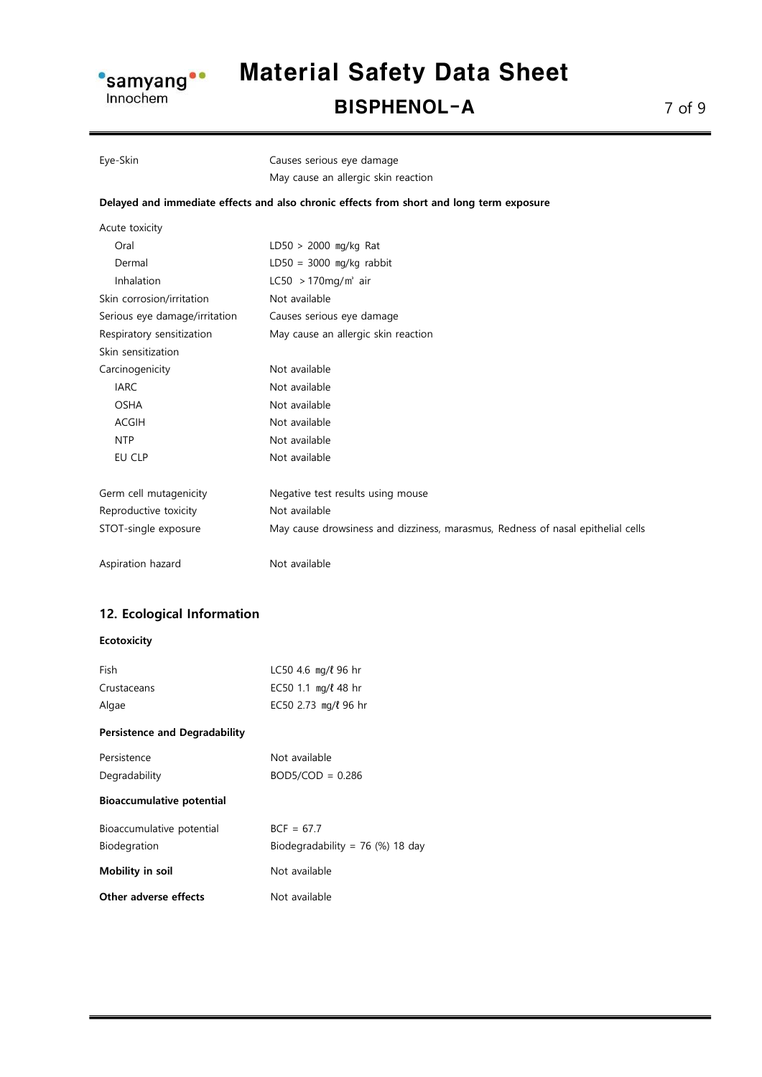

### Material Safety Data Sheet BISPHENOL-A 7 of 9

#### Eye-Skin Causes serious eye damage May cause an allergic skin reaction

#### Delayed and immediate effects and also chronic effects from short and long term exposure

| Acute toxicity                |                                                                                 |
|-------------------------------|---------------------------------------------------------------------------------|
| Oral                          | $LD50 > 2000$ mg/kg Rat                                                         |
| Dermal                        | $LD50 = 3000$ mg/kg rabbit                                                      |
| Inhalation                    | LC50 $>170$ mg/m <sup>3</sup> air                                               |
| Skin corrosion/irritation     | Not available                                                                   |
| Serious eye damage/irritation | Causes serious eye damage                                                       |
| Respiratory sensitization     | May cause an allergic skin reaction                                             |
| Skin sensitization            |                                                                                 |
| Carcinogenicity               | Not available                                                                   |
| <b>IARC</b>                   | Not available                                                                   |
| <b>OSHA</b>                   | Not available                                                                   |
| <b>ACGIH</b>                  | Not available                                                                   |
| <b>NTP</b>                    | Not available                                                                   |
| EU CLP                        | Not available                                                                   |
| Germ cell mutagenicity        | Negative test results using mouse                                               |
| Reproductive toxicity         | Not available                                                                   |
| STOT-single exposure          | May cause drowsiness and dizziness, marasmus, Redness of nasal epithelial cells |
| Aspiration hazard             | Not available                                                                   |

#### 12. Ecological Information

#### Ecotoxicity

| Fish                                 | $LC50$ 4.6 mg/ $\ell$ 96 hr        |
|--------------------------------------|------------------------------------|
| Crustaceans                          | EC50 1.1 mg/ $\ell$ 48 hr          |
| Algae                                | EC50 2.73 mg/l 96 hr               |
| <b>Persistence and Degradability</b> |                                    |
| Persistence                          | Not available                      |
| Degradability                        | $BOD5/COD = 0.286$                 |
| <b>Bioaccumulative potential</b>     |                                    |
| Bioaccumulative potential            | $BCF = 67.7$                       |
| Biodegration                         | Biodegradability = $76$ (%) 18 day |
| Mobility in soil                     | Not available                      |
| Other adverse effects                | Not available                      |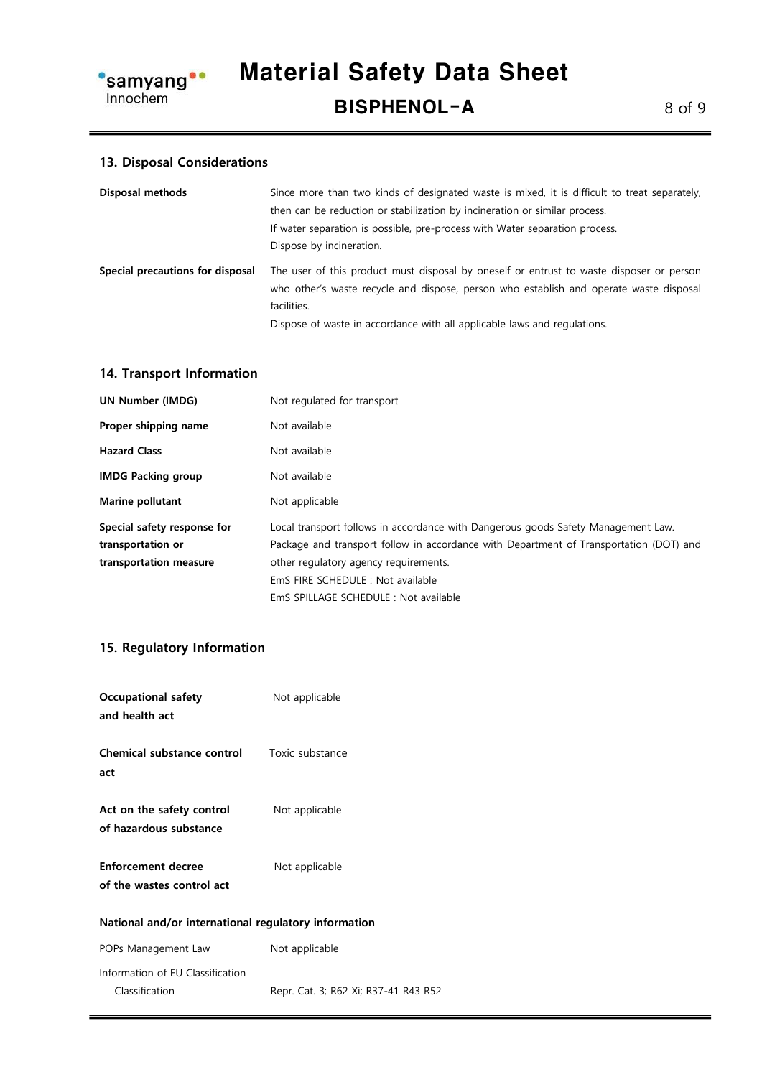

#### 13. Disposal Considerations

| Disposal methods                 | Since more than two kinds of designated waste is mixed, it is difficult to treat separately,          |
|----------------------------------|-------------------------------------------------------------------------------------------------------|
|                                  | then can be reduction or stabilization by incineration or similar process.                            |
|                                  | If water separation is possible, pre-process with Water separation process.                           |
|                                  | Dispose by incineration.                                                                              |
| Special precautions for disposal | The user of this product must disposal by oneself or entrust to waste disposer or person              |
|                                  | who other's waste recycle and dispose, person who establish and operate waste disposal<br>facilities. |

#### 14. Transport Information

| <b>UN Number (IMDG)</b>     | Not regulated for transport                                                            |
|-----------------------------|----------------------------------------------------------------------------------------|
| Proper shipping name        | Not available                                                                          |
| <b>Hazard Class</b>         | Not available                                                                          |
| <b>IMDG Packing group</b>   | Not available                                                                          |
| <b>Marine pollutant</b>     | Not applicable                                                                         |
| Special safety response for | Local transport follows in accordance with Dangerous goods Safety Management Law.      |
| transportation or           | Package and transport follow in accordance with Department of Transportation (DOT) and |
| transportation measure      | other regulatory agency requirements.                                                  |
|                             | EmS FIRE SCHEDULE: Not available                                                       |
|                             | EmS SPILLAGE SCHEDULE : Not available                                                  |

#### 15. Regulatory Information

| <b>Occupational safety</b><br>and health act           | Not applicable                       |
|--------------------------------------------------------|--------------------------------------|
| Chemical substance control<br>act                      | Toxic substance                      |
| Act on the safety control<br>of hazardous substance    | Not applicable                       |
| <b>Enforcement decree</b><br>of the wastes control act | Not applicable                       |
| National and/or international regulatory information   |                                      |
| POPs Management Law                                    | Not applicable                       |
| Information of EU Classification<br>Classification     | Repr. Cat. 3; R62 Xi; R37-41 R43 R52 |